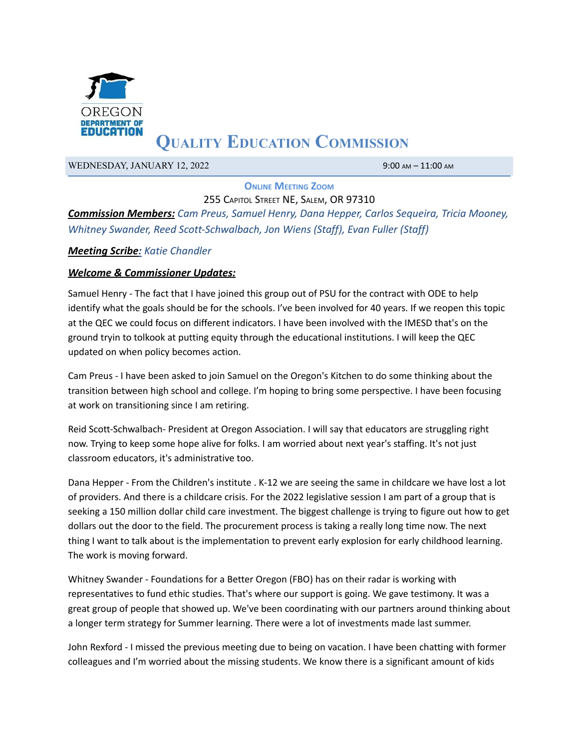

# **QUALITY EDUCATION COMMISSION**

WEDNESDAY, JANUARY 12, 2022 9:00 AM – 11:00 AM

**ONLINE MEETING ZOOM**

255 CAPITOL STREET NE, SALEM, OR 97310 *Commission Members: Cam Preus, Samuel Henry, Dana Hepper, Carlos Sequeira, Tricia Mooney, Whitney Swander, Reed Scott-Schwalbach, Jon Wiens (Staff), Evan Fuller (Staff)*

#### *Meeting Scribe: Katie Chandler*

#### *Welcome & Commissioner Updates:*

Samuel Henry - The fact that I have joined this group out of PSU for the contract with ODE to help identify what the goals should be for the schools. I've been involved for 40 years. If we reopen this topic at the QEC we could focus on different indicators. I have been involved with the IMESD that's on the ground tryin to tolkook at putting equity through the educational institutions. I will keep the QEC updated on when policy becomes action.

Cam Preus - I have been asked to join Samuel on the Oregon's Kitchen to do some thinking about the transition between high school and college. I'm hoping to bring some perspective. I have been focusing at work on transitioning since I am retiring.

Reid Scott-Schwalbach- President at Oregon Association. I will say that educators are struggling right now. Trying to keep some hope alive for folks. I am worried about next year's staffing. It's not just classroom educators, it's administrative too.

Dana Hepper - From the Children's institute . K-12 we are seeing the same in childcare we have lost a lot of providers. And there is a childcare crisis. For the 2022 legislative session I am part of a group that is seeking a 150 million dollar child care investment. The biggest challenge is trying to figure out how to get dollars out the door to the field. The procurement process is taking a really long time now. The next thing I want to talk about is the implementation to prevent early explosion for early childhood learning. The work is moving forward.

Whitney Swander - Foundations for a Better Oregon (FBO) has on their radar is working with representatives to fund ethic studies. That's where our support is going. We gave testimony. It was a great group of people that showed up. We've been coordinating with our partners around thinking about a longer term strategy for Summer learning. There were a lot of investments made last summer.

John Rexford - I missed the previous meeting due to being on vacation. I have been chatting with former colleagues and I'm worried about the missing students. We know there is a significant amount of kids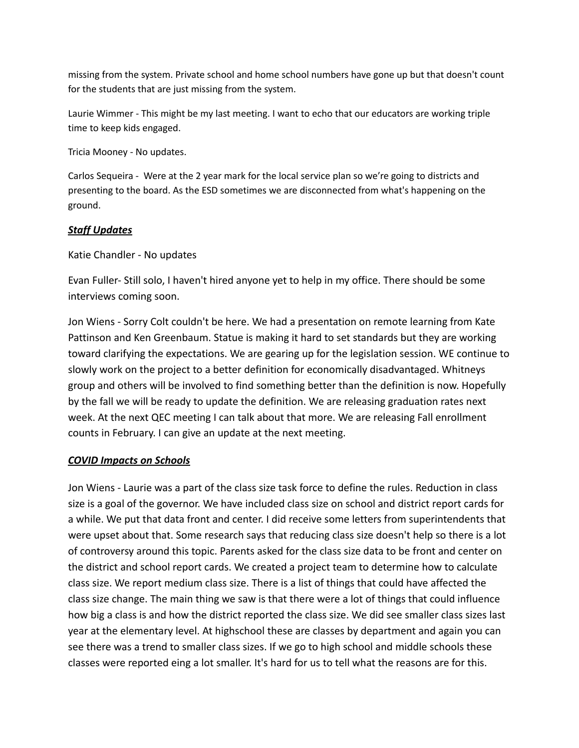missing from the system. Private school and home school numbers have gone up but that doesn't count for the students that are just missing from the system.

Laurie Wimmer - This might be my last meeting. I want to echo that our educators are working triple time to keep kids engaged.

Tricia Mooney - No updates.

Carlos Sequeira - Were at the 2 year mark for the local service plan so we're going to districts and presenting to the board. As the ESD sometimes we are disconnected from what's happening on the ground.

### *Staff Updates*

Katie Chandler - No updates

Evan Fuller- Still solo, I haven't hired anyone yet to help in my office. There should be some interviews coming soon.

Jon Wiens - Sorry Colt couldn't be here. We had a presentation on remote learning from Kate Pattinson and Ken Greenbaum. Statue is making it hard to set standards but they are working toward clarifying the expectations. We are gearing up for the legislation session. WE continue to slowly work on the project to a better definition for economically disadvantaged. Whitneys group and others will be involved to find something better than the definition is now. Hopefully by the fall we will be ready to update the definition. We are releasing graduation rates next week. At the next QEC meeting I can talk about that more. We are releasing Fall enrollment counts in February. I can give an update at the next meeting.

#### *COVID Impacts on Schools*

Jon Wiens - Laurie was a part of the class size task force to define the rules. Reduction in class size is a goal of the governor. We have included class size on school and district report cards for a while. We put that data front and center. I did receive some letters from superintendents that were upset about that. Some research says that reducing class size doesn't help so there is a lot of controversy around this topic. Parents asked for the class size data to be front and center on the district and school report cards. We created a project team to determine how to calculate class size. We report medium class size. There is a list of things that could have affected the class size change. The main thing we saw is that there were a lot of things that could influence how big a class is and how the district reported the class size. We did see smaller class sizes last year at the elementary level. At highschool these are classes by department and again you can see there was a trend to smaller class sizes. If we go to high school and middle schools these classes were reported eing a lot smaller. It's hard for us to tell what the reasons are for this.